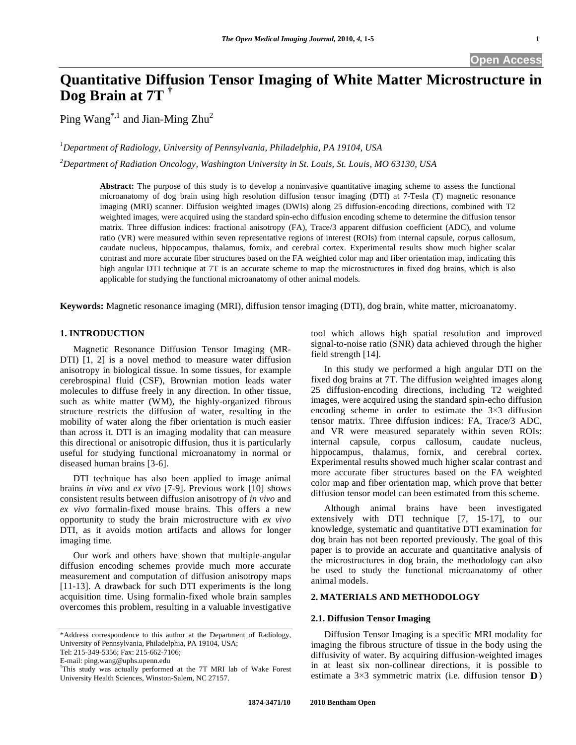# **Quantitative Diffusion Tensor Imaging of White Matter Microstructure in Dog Brain at 7T †**

Ping Wang<sup>\*,1</sup> and Jian-Ming Zhu<sup>2</sup>

*1 Department of Radiology, University of Pennsylvania, Philadelphia, PA 19104, USA* 

*2 Department of Radiation Oncology, Washington University in St. Louis, St. Louis, MO 63130, USA* 

**Abstract:** The purpose of this study is to develop a noninvasive quantitative imaging scheme to assess the functional microanatomy of dog brain using high resolution diffusion tensor imaging (DTI) at 7-Tesla (T) magnetic resonance imaging (MRI) scanner. Diffusion weighted images (DWIs) along 25 diffusion-encoding directions, combined with T2 weighted images, were acquired using the standard spin-echo diffusion encoding scheme to determine the diffusion tensor matrix. Three diffusion indices: fractional anisotropy (FA), Trace/3 apparent diffusion coefficient (ADC), and volume ratio (VR) were measured within seven representative regions of interest (ROIs) from internal capsule, corpus callosum, caudate nucleus, hippocampus, thalamus, fornix, and cerebral cortex. Experimental results show much higher scalar contrast and more accurate fiber structures based on the FA weighted color map and fiber orientation map, indicating this high angular DTI technique at 7T is an accurate scheme to map the microstructures in fixed dog brains, which is also applicable for studying the functional microanatomy of other animal models.

**Keywords:** Magnetic resonance imaging (MRI), diffusion tensor imaging (DTI), dog brain, white matter, microanatomy.

# **1. INTRODUCTION**

 Magnetic Resonance Diffusion Tensor Imaging (MR-DTI) [1, 2] is a novel method to measure water diffusion anisotropy in biological tissue. In some tissues, for example cerebrospinal fluid (CSF), Brownian motion leads water molecules to diffuse freely in any direction. In other tissue, such as white matter (WM), the highly-organized fibrous structure restricts the diffusion of water, resulting in the mobility of water along the fiber orientation is much easier than across it. DTI is an imaging modality that can measure this directional or anisotropic diffusion, thus it is particularly useful for studying functional microanatomy in normal or diseased human brains [3-6].

 DTI technique has also been applied to image animal brains *in vivo* and *ex vivo* [7-9]. Previous work [10] shows consistent results between diffusion anisotropy of *in vivo* and *ex vivo* formalin-fixed mouse brains. This offers a new opportunity to study the brain microstructure with *ex vivo* DTI, as it avoids motion artifacts and allows for longer imaging time.

 Our work and others have shown that multiple-angular diffusion encoding schemes provide much more accurate measurement and computation of diffusion anisotropy maps [11-13]. A drawback for such DTI experiments is the long acquisition time. Using formalin-fixed whole brain samples overcomes this problem, resulting in a valuable investigative tool which allows high spatial resolution and improved signal-to-noise ratio (SNR) data achieved through the higher field strength [14].

 In this study we performed a high angular DTI on the fixed dog brains at 7T. The diffusion weighted images along 25 diffusion-encoding directions, including T2 weighted images, were acquired using the standard spin-echo diffusion encoding scheme in order to estimate the  $3\times3$  diffusion tensor matrix. Three diffusion indices: FA, Trace/3 ADC, and VR were measured separately within seven ROIs: internal capsule, corpus callosum, caudate nucleus, hippocampus, thalamus, fornix, and cerebral cortex. Experimental results showed much higher scalar contrast and more accurate fiber structures based on the FA weighted color map and fiber orientation map, which prove that better diffusion tensor model can been estimated from this scheme.

 Although animal brains have been investigated extensively with DTI technique [7, 15-17], to our knowledge, systematic and quantitative DTI examination for dog brain has not been reported previously. The goal of this paper is to provide an accurate and quantitative analysis of the microstructures in dog brain, the methodology can also be used to study the functional microanatomy of other animal models.

# **2. MATERIALS AND METHODOLOGY**

#### **2.1. Diffusion Tensor Imaging**

 Diffusion Tensor Imaging is a specific MRI modality for imaging the fibrous structure of tissue in the body using the diffusivity of water. By acquiring diffusion-weighted images in at least six non-collinear directions, it is possible to estimate a  $3\times3$  symmetric matrix (i.e. diffusion tensor **D**)

<sup>\*</sup>Address correspondence to this author at the Department of Radiology, University of Pennsylvania, Philadelphia, PA 19104, USA;

Tel: 215-349-5356; Fax: 215-662-7106;

E-mail: ping.wang@uphs.upenn.edu

<sup>†</sup> This study was actually performed at the 7T MRI lab of Wake Forest University Health Sciences, Winston-Salem, NC 27157.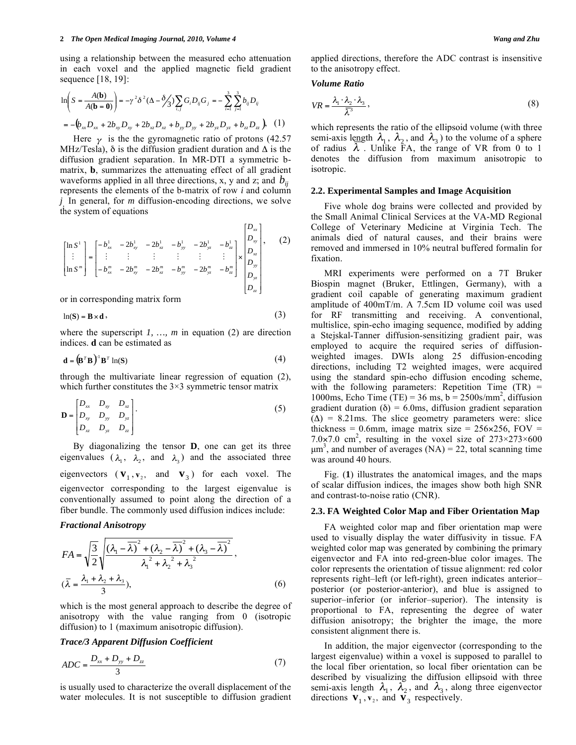using a relationship between the measured echo attenuation in each voxel and the applied magnetic field gradient sequence [18, 19]:

$$
\ln\left(S = \frac{A(\mathbf{b})}{A(\mathbf{b} = \mathbf{0})}\right) = -\gamma^2 \delta^2 (\Delta - \delta/3) \sum_{i,j} G_i D_{ij} G_j = -\sum_{i=1}^3 \sum_{j=1}^3 b_{ij} D_{ij}
$$
  
=  $-\left(b_{xx} D_{xx} + 2b_{xy} D_{xy} + 2b_{xz} D_{xz} + b_{yy} D_{yy} + 2b_{yz} D_{yz} + b_{zz} D_{zz}\right), (1)$ 

Here  $\gamma$  is the the gyromagnetic ratio of protons (42.57) MHz/Tesla),  $\delta$  is the diffusion gradient duration and  $\Delta$  is the diffusion gradient separation. In MR-DTI a symmetric bmatrix, **b**, summarizes the attenuating effect of all gradient waveforms applied in all three directions, x, y and z; and  $b_{ii}$ represents the elements of the b-matrix of row *i* and column *j* . In general, for *m* diffusion-encoding directions, we solve the system of equations

$$
\begin{bmatrix} \ln S^{1} \\ \vdots \\ \ln S^{m} \end{bmatrix} = \begin{bmatrix} -b_{xx}^{1} & -2b_{xy}^{1} & -2b_{xz}^{1} & -b_{yy}^{1} & -2b_{yz}^{1} & -b_{zz}^{1} \\ \vdots & \vdots & \vdots & \vdots & \vdots \\ -b_{xx}^{m} & -2b_{xy}^{m} & -2b_{xz}^{m} & -b_{yy}^{m} & -2b_{yz}^{m} & -b_{zz}^{m} \end{bmatrix} \times \begin{bmatrix} D_{xx} \\ D_{xy} \\ D_{yx} \\ D_{yx} \\ D_{yz} \\ D_{zz} \end{bmatrix},
$$
 (2)

or in corresponding matrix form

$$
\ln(S) = B \times d \tag{3}
$$

where the superscript *1, …, m* in equation (2) are direction indices. **d** can be estimated as

$$
\mathbf{d} = (\mathbf{B}^T \mathbf{B})^{\dagger} \mathbf{B}^T \ln(\mathbf{S})
$$
 (4)

through the multivariate linear regression of equation (2), which further constitutes the  $3\times3$  symmetric tensor matrix

$$
\mathbf{D} = \begin{bmatrix} D_{xx} & D_{xy} & D_{xz} \\ D_{xy} & D_{yy} & D_{yz} \\ D_{xz} & D_{yz} & D_{zz} \end{bmatrix} .
$$
 (5)

 By diagonalizing the tensor **D**, one can get its three eigenvalues  $(\lambda_1, \lambda_2, \text{ and } \lambda_3)$  and the associated three eigenvectors  $(\mathbf{v}_1, \mathbf{v}_2, \mathbf{v}_3)$  for each voxel. The eigenvector corresponding to the largest eigenvalue is conventionally assumed to point along the direction of a fiber bundle. The commonly used diffusion indices include:

#### *Fractional Anisotropy*

$$
FA = \sqrt{\frac{3}{2}} \sqrt{\frac{(\lambda_1 - \overline{\lambda})^2 + (\lambda_2 - \overline{\lambda})^2 + (\lambda_3 - \overline{\lambda})^2}{\lambda_1^2 + \lambda_2^2 + \lambda_3^2}},
$$
  
\n
$$
(\overline{\lambda} = \frac{\lambda_1 + \lambda_2 + \lambda_3}{3}),
$$
\n(6)

which is the most general approach to describe the degree of anisotropy with the value ranging from 0 (isotropic diffusion) to 1 (maximum anisotropic diffusion).

## *Trace/3 Apparent Diffusion Coefficient*

$$
ADC = \frac{D_{xx} + D_{yy} + D_{zz}}{3} \tag{7}
$$

is usually used to characterize the overall displacement of the water molecules. It is not susceptible to diffusion gradient applied directions, therefore the ADC contrast is insensitive to the anisotropy effect.

#### *Volume Ratio*

$$
VR = \frac{\lambda_1 \cdot \lambda_2 \cdot \lambda_3}{\overline{\lambda}^3},\tag{8}
$$

which represents the ratio of the ellipsoid volume (with three semi-axis length  $\lambda_1$ ,  $\lambda_2$ , and  $\lambda_3$ ) to the volume of a sphere of radius  $\lambda$ . Unlike FA, the range of VR from 0 to 1 denotes the diffusion from maximum anisotropic to isotropic.

#### **2.2. Experimental Samples and Image Acquisition**

 Five whole dog brains were collected and provided by the Small Animal Clinical Services at the VA-MD Regional College of Veterinary Medicine at Virginia Tech. The animals died of natural causes, and their brains were removed and immersed in 10% neutral buffered formalin for fixation.

 MRI experiments were performed on a 7T Bruker Biospin magnet (Bruker, Ettlingen, Germany), with a gradient coil capable of generating maximum gradient amplitude of 400mT/m. A 7.5cm ID volume coil was used for RF transmitting and receiving. A conventional, multislice, spin-echo imaging sequence, modified by adding a Stejskal-Tanner diffusion-sensitizing gradient pair, was employed to acquire the required series of diffusionweighted images. DWIs along 25 diffusion-encoding directions, including T2 weighted images, were acquired using the standard spin-echo diffusion encoding scheme, with the following parameters: Repetition Time  $(TR)$  = 1000ms, Echo Time (TE) = 36 ms,  $b = 2500$ s/mm<sup>2</sup>, diffusion gradient duration ( $\delta$ ) = 6.0ms, diffusion gradient separation  $(\Delta)$  = 8.21ms. The slice geometry parameters were: slice thickness =  $0.6$ mm, image matrix size = 256×256, FOV = 7.0×7.0 cm<sup>2</sup>, resulting in the voxel size of  $273\times273\times600$  $\mu$ m<sup>3</sup>, and number of averages (NA) = 22, total scanning time was around 40 hours.

 Fig. (**1**) illustrates the anatomical images, and the maps of scalar diffusion indices, the images show both high SNR and contrast-to-noise ratio (CNR).

#### **2.3. FA Weighted Color Map and Fiber Orientation Map**

 FA weighted color map and fiber orientation map were used to visually display the water diffusivity in tissue. FA weighted color map was generated by combining the primary eigenvector and FA into red-green-blue color images. The color represents the orientation of tissue alignment: red color represents right–left (or left-right), green indicates anterior– posterior (or posterior-anterior), and blue is assigned to superior–inferior (or inferior–superior). The intensity is proportional to FA, representing the degree of water diffusion anisotropy; the brighter the image, the more consistent alignment there is.

 In addition, the major eigenvector (corresponding to the largest eigenvalue) within a voxel is supposed to parallel to the local fiber orientation, so local fiber orientation can be described by visualizing the diffusion ellipsoid with three semi-axis length  $\lambda_1$ ,  $\lambda_2$ , and  $\lambda_3$ , along three eigenvector directions  $\mathbf{v}_1$ ,  $\mathbf{v}_2$ , and  $\mathbf{v}_3$  respectively.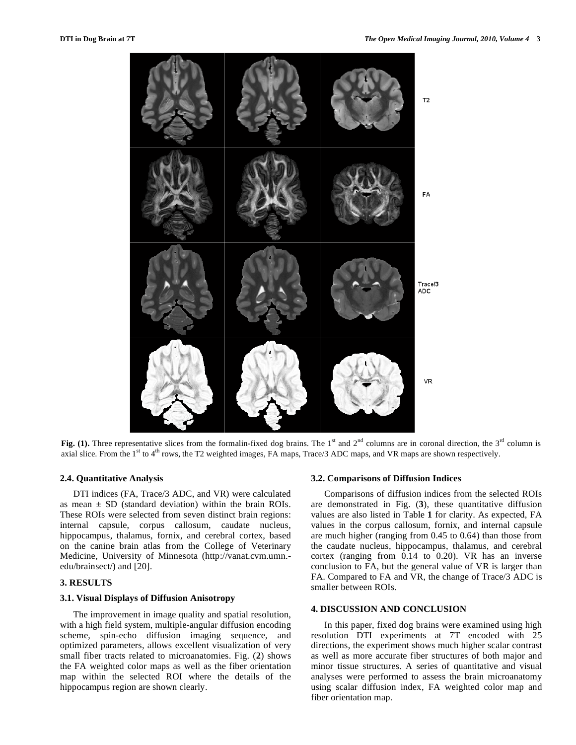

Fig. (1). Three representative slices from the formalin-fixed dog brains. The 1<sup>st</sup> and 2<sup>nd</sup> columns are in coronal direction, the 3<sup>rd</sup> column is axial slice. From the  $1<sup>st</sup>$  to  $4<sup>th</sup>$  rows, the T2 weighted images, FA maps, Trace/3 ADC maps, and VR maps are shown respectively.

#### **2.4. Quantitative Analysis**

 DTI indices (FA, Trace/3 ADC, and VR) were calculated as mean  $\pm$  SD (standard deviation) within the brain ROIs. These ROIs were selected from seven distinct brain regions: internal capsule, corpus callosum, caudate nucleus, hippocampus, thalamus, fornix, and cerebral cortex, based on the canine brain atlas from the College of Veterinary Medicine, University of Minnesota (http://vanat.cvm.umn. edu/brainsect/) and [20].

## **3. RESULTS**

#### **3.1. Visual Displays of Diffusion Anisotropy**

 The improvement in image quality and spatial resolution, with a high field system, multiple-angular diffusion encoding scheme, spin-echo diffusion imaging sequence, and optimized parameters, allows excellent visualization of very small fiber tracts related to microanatomies. Fig. (**2**) shows the FA weighted color maps as well as the fiber orientation map within the selected ROI where the details of the hippocampus region are shown clearly.

#### **3.2. Comparisons of Diffusion Indices**

 Comparisons of diffusion indices from the selected ROIs are demonstrated in Fig. (**3**), these quantitative diffusion values are also listed in Table **1** for clarity. As expected, FA values in the corpus callosum, fornix, and internal capsule are much higher (ranging from 0.45 to 0.64) than those from the caudate nucleus, hippocampus, thalamus, and cerebral cortex (ranging from 0.14 to 0.20). VR has an inverse conclusion to FA, but the general value of VR is larger than FA. Compared to FA and VR, the change of Trace/3 ADC is smaller between ROIs.

#### **4. DISCUSSION AND CONCLUSION**

 In this paper, fixed dog brains were examined using high resolution DTI experiments at 7T encoded with 25 directions, the experiment shows much higher scalar contrast as well as more accurate fiber structures of both major and minor tissue structures. A series of quantitative and visual analyses were performed to assess the brain microanatomy using scalar diffusion index, FA weighted color map and fiber orientation map.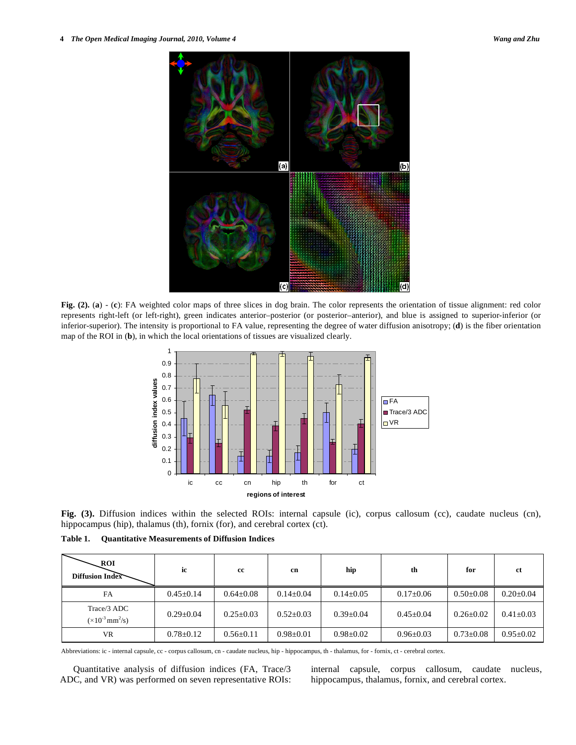

**Fig. (2).** (**a**) - (**c**): FA weighted color maps of three slices in dog brain. The color represents the orientation of tissue alignment: red color represents right-left (or left-right), green indicates anterior–posterior (or posterior–anterior), and blue is assigned to superior-inferior (or inferior-superior). The intensity is proportional to FA value, representing the degree of water diffusion anisotropy; (**d**) is the fiber orientation map of the ROI in (**b**), in which the local orientations of tissues are visualized clearly.



**Fig. (3).** Diffusion indices within the selected ROIs: internal capsule (ic), corpus callosum (cc), caudate nucleus (cn), hippocampus (hip), thalamus (th), fornix (for), and cerebral cortex (ct).

**Table 1. Quantitative Measurements of Diffusion Indices** 

| <b>ROI</b><br>Diffusion Index                           | ic              | cc              | cn              | hip             | th              | for             | -ct             |
|---------------------------------------------------------|-----------------|-----------------|-----------------|-----------------|-----------------|-----------------|-----------------|
| FA                                                      | $0.45 \pm 0.14$ | $0.64 \pm 0.08$ | $0.14 + 0.04$   | $0.14 \pm 0.05$ | $0.17 \pm 0.06$ | $0.50 \pm 0.08$ | $0.20 \pm 0.04$ |
| Trace/3 ADC<br>$(\times 10^{-3} \text{ mm}^2/\text{s})$ | $0.29 \pm 0.04$ | $0.25 \pm 0.03$ | $0.52 + 0.03$   | $0.39 \pm 0.04$ | $0.45 \pm 0.04$ | $0.26 \pm 0.02$ | $0.41 + 0.03$   |
| VR.                                                     | $0.78 \pm 0.12$ | $0.56 \pm 0.11$ | $0.98 \pm 0.01$ | $0.98 \pm 0.02$ | $0.96 \pm 0.03$ | $0.73 \pm 0.08$ | $0.95 + 0.02$   |

Abbreviations: ic - internal capsule, cc - corpus callosum, cn - caudate nucleus, hip - hippocampus, th - thalamus, for - fornix, ct - cerebral cortex.

 Quantitative analysis of diffusion indices (FA, Trace/3 ADC, and VR) was performed on seven representative ROIs: internal capsule, corpus callosum, caudate nucleus, hippocampus, thalamus, fornix, and cerebral cortex.